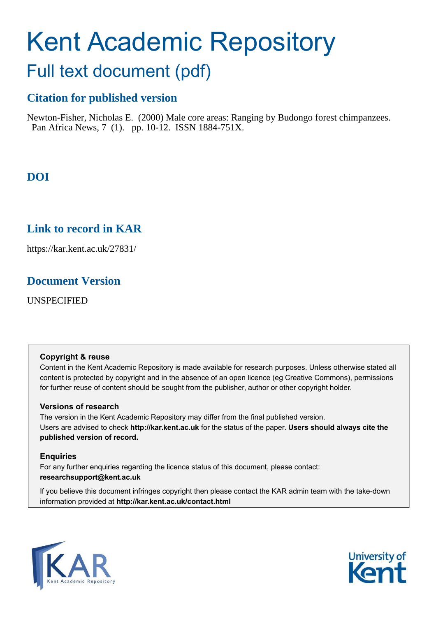# Kent Academic Repository

## Full text document (pdf)

## **Citation for published version**

Newton-Fisher, Nicholas E. (2000) Male core areas: Ranging by Budongo forest chimpanzees. Pan Africa News, 7 (1). pp. 10-12. ISSN 1884-751X.

## **DOI**

## **Link to record in KAR**

https://kar.kent.ac.uk/27831/

### **Document Version**

UNSPECIFIED

#### **Copyright & reuse**

Content in the Kent Academic Repository is made available for research purposes. Unless otherwise stated all content is protected by copyright and in the absence of an open licence (eg Creative Commons), permissions for further reuse of content should be sought from the publisher, author or other copyright holder.

#### **Versions of research**

The version in the Kent Academic Repository may differ from the final published version. Users are advised to check **http://kar.kent.ac.uk** for the status of the paper. **Users should always cite the published version of record.**

#### **Enquiries**

For any further enquiries regarding the licence status of this document, please contact: **researchsupport@kent.ac.uk**

If you believe this document infringes copyright then please contact the KAR admin team with the take-down information provided at **http://kar.kent.ac.uk/contact.html**



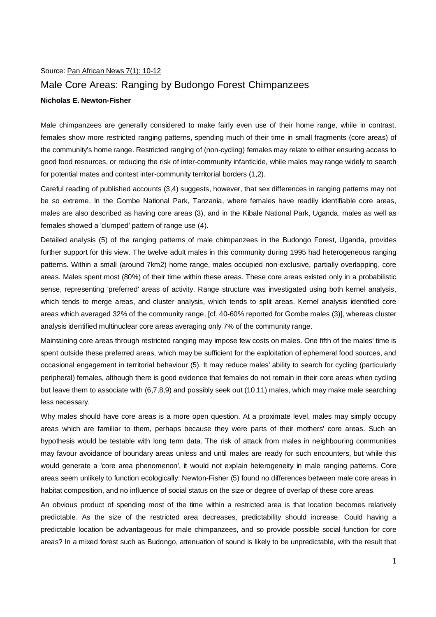#### Source: Pan African News 7(1): 10-12

#### Male Core Areas: Ranging by Budongo Forest Chimpanzees

#### **Nicholas E. Newton-Fisher**

Male chimpanzees are generally considered to make fairly even use of their home range, while in contrast, females show more restricted ranging patterns, spending much of their time in small fragments (core areas) of the community's home range. Restricted ranging of (non-cycling) females may relate to either ensuring access to good food resources, or reducing the risk of inter-community infanticide, while males may range widely to search for potential mates and contest inter-community territorial borders (1,2).

Careful reading of published accounts (3,4) suggests, however, that sex differences in ranging patterns may not be so extreme. In the Gombe National Park, Tanzania, where females have readily identifiable core areas, males are also described as having core areas (3), and in the Kibale National Park, Uganda, males as well as females showed a 'clumped' pattern of range use (4).

Detailed analysis (5) of the ranging patterns of male chimpanzees in the Budongo Forest, Uganda, provides further support for this view. The twelve adult males in this community during 1995 had heterogeneous ranging patterns. Within a small (around 7km2) home range, males occupied non-exclusive, partially overlapping, core areas. Males spent most (80%) of their time within these areas. These core areas existed only in a probabilistic sense, representing 'preferred' areas of activity. Range structure was investigated using both kernel analysis, which tends to merge areas, and cluster analysis, which tends to split areas. Kernel analysis identified core areas which averaged 32% of the community range, [cf. 40-60% reported for Gombe males (3)], whereas cluster analysis identified multinuclear core areas averaging only 7% of the community range.

Maintaining core areas through restricted ranging may impose few costs on males. One fifth of the males' time is spent outside these preferred areas, which may be sufficient for the exploitation of ephemeral food sources, and occasional engagement in territorial behaviour (5). It may reduce males' ability to search for cycling (particularly peripheral) females, although there is good evidence that females do not remain in their core areas when cycling but leave them to associate with (6,7,8,9) and possibly seek out (10,11) males, which may make male searching less necessary.

Why males should have core areas is a more open question. At a proximate level, males may simply occupy areas which are familiar to them, perhaps because they were parts of their mothers' core areas. Such an hypothesis would be testable with long term data. The risk of attack from males in neighbouring communities may favour avoidance of boundary areas unless and until males are ready for such encounters, but while this would generate a 'core area phenomenon', it would not explain heterogeneity in male ranging patterns. Core areas seem unlikely to function ecologically: Newton-Fisher (5) found no differences between male core areas in habitat composition, and no influence of social status on the size or degree of overlap of these core areas.

An obvious product of spending most of the time within a restricted area is that location becomes relatively predictable. As the size of the restricted area decreases, predictability should increase. Could having a predictable location be advantageous for male chimpanzees, and so provide possible social function for core areas? In a mixed forest such as Budongo, attenuation of sound is likely to be unpredictable, with the result that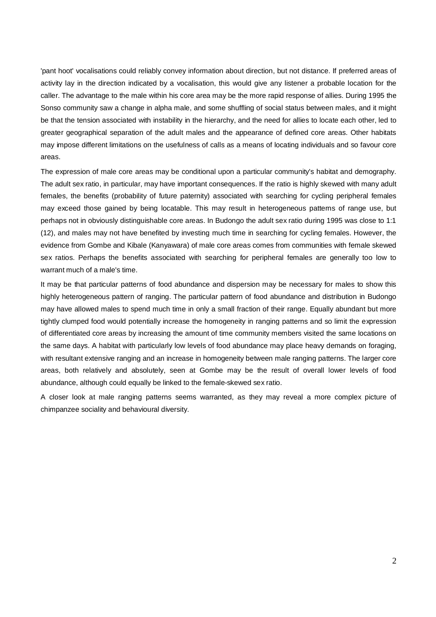'pant hoot' vocalisations could reliably convey information about direction, but not distance. If preferred areas of activity lay in the direction indicated by a vocalisation, this would give any listener a probable location for the caller. The advantage to the male within his core area may be the more rapid response of allies. During 1995 the Sonso community saw a change in alpha male, and some shuffling of social status between males, and it might be that the tension associated with instability in the hierarchy, and the need for allies to locate each other, led to greater geographical separation of the adult males and the appearance of defined core areas. Other habitats may impose different limitations on the usefulness of calls as a means of locating individuals and so favour core areas.

The expression of male core areas may be conditional upon a particular community's habitat and demography. The adult sex ratio, in particular, may have important consequences. If the ratio is highly skewed with many adult females, the benefits (probability of future paternity) associated with searching for cycling peripheral females may exceed those gained by being locatable. This may result in heterogeneous patterns of range use, but perhaps not in obviously distinguishable core areas. In Budongo the adult sex ratio during 1995 was close to 1:1 (12), and males may not have benefited by investing much time in searching for cycling females. However, the evidence from Gombe and Kibale (Kanyawara) of male core areas comes from communities with female skewed sex ratios. Perhaps the benefits associated with searching for peripheral females are generally too low to warrant much of a male's time.

It may be that particular patterns of food abundance and dispersion may be necessary for males to show this highly heterogeneous pattern of ranging. The particular pattern of food abundance and distribution in Budongo may have allowed males to spend much time in only a small fraction of their range. Equally abundant but more tightly clumped food would potentially increase the homogeneity in ranging patterns and so limit the expression of differentiated core areas by increasing the amount of time community members visited the same locations on the same days. A habitat with particularly low levels of food abundance may place heavy demands on foraging, with resultant extensive ranging and an increase in homogeneity between male ranging patterns. The larger core areas, both relatively and absolutely, seen at Gombe may be the result of overall lower levels of food abundance, although could equally be linked to the female-skewed sex ratio.

A closer look at male ranging patterns seems warranted, as they may reveal a more complex picture of chimpanzee sociality and behavioural diversity.